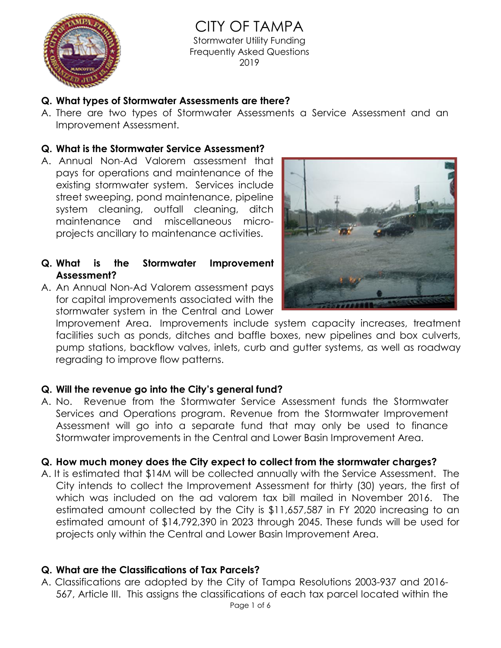

CITY OF TAMPA Stormwater Utility Funding Frequently Asked Questions 2019

### **Q. What types of Stormwater Assessments are there?**

A. There are two types of Stormwater Assessments a Service Assessment and an Improvement Assessment.

### **Q. What is the Stormwater Service Assessment?**

- A. Annual Non-Ad Valorem assessment that pays for operations and maintenance of the existing stormwater system. Services include street sweeping, pond maintenance, pipeline system cleaning, outfall cleaning, ditch maintenance and miscellaneous microprojects ancillary to maintenance activities.
- **Q. What is the Stormwater Improvement Assessment?**
- A. An Annual Non-Ad Valorem assessment pays for capital improvements associated with the stormwater system in the Central and Lower



Improvement Area. Improvements include system capacity increases, treatment facilities such as ponds, ditches and baffle boxes, new pipelines and box culverts, pump stations, backflow valves, inlets, curb and gutter systems, as well as roadway regrading to improve flow patterns.

## **Q. Will the revenue go into the City's general fund?**

A. No. Revenue from the Stormwater Service Assessment funds the Stormwater Services and Operations program. Revenue from the Stormwater Improvement Assessment will go into a separate fund that may only be used to finance Stormwater improvements in the Central and Lower Basin Improvement Area.

## **Q. How much money does the City expect to collect from the stormwater charges?**

A. It is estimated that \$14M will be collected annually with the Service Assessment. The City intends to collect the Improvement Assessment for thirty (30) years, the first of which was included on the ad valorem tax bill mailed in November 2016. The estimated amount collected by the City is \$11,657,587 in FY 2020 increasing to an estimated amount of \$14,792,390 in 2023 through 2045. These funds will be used for projects only within the Central and Lower Basin Improvement Area.

## **Q. What are the Classifications of Tax Parcels?**

A. Classifications are adopted by the City of Tampa Resolutions 2003-937 and 2016- 567, Article III. This assigns the classifications of each tax parcel located within the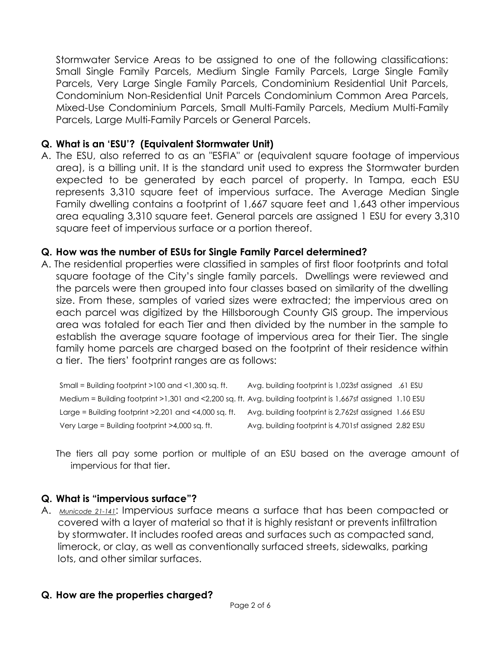Stormwater Service Areas to be assigned to one of the following classifications: Small Single Family Parcels, Medium Single Family Parcels, Large Single Family Parcels, Very Large Single Family Parcels, Condominium Residential Unit Parcels, Condominium Non-Residential Unit Parcels Condominium Common Area Parcels, Mixed-Use Condominium Parcels, Small Multi-Family Parcels, Medium Multi-Family Parcels, Large Multi-Family Parcels or General Parcels.

### **Q. What is an 'ESU'? (Equivalent Stormwater Unit)**

A. The ESU, also referred to as an "ESFIA" or (equivalent square footage of impervious area), is a billing unit. It is the standard unit used to express the Stormwater burden expected to be generated by each parcel of property. In Tampa, each ESU represents 3,310 square feet of impervious surface. The Average Median Single Family dwelling contains a footprint of 1,667 square feet and 1,643 other impervious area equaling 3,310 square feet. General parcels are assigned 1 ESU for every 3,310 square feet of impervious surface or a portion thereof.

### **Q. How was the number of ESUs for Single Family Parcel determined?**

A. The residential properties were classified in samples of first floor footprints and total square footage of the City's single family parcels. Dwellings were reviewed and the parcels were then grouped into four classes based on similarity of the dwelling size. From these, samples of varied sizes were extracted; the impervious area on each parcel was digitized by the Hillsborough County GIS group. The impervious area was totaled for each Tier and then divided by the number in the sample to establish the average square footage of impervious area for their Tier. The single family home parcels are charged based on the footprint of their residence within a tier. The tiers' footprint ranges are as follows:

Small = Building footprint >100 and <1,300 sq. ft. Avg. building footprint is 1,023sf assigned .61 ESU Medium = Building footprint >1,301 and <2,200 sq. ft. Avg. building footprint is 1,667sf assigned 1.10 ESU Large = Building footprint >2,201 and <4,000 sq. ft. Avg. building footprint is 2,762sf assigned 1.66 ESU Very Large = Building footprint >4,000 sq. ft. Avg. building footprint is 4,701sf assigned 2.82 ESU

The tiers all pay some portion or multiple of an ESU based on the average amount of impervious for that tier.

### **Q. What is "impervious surface"?**

A. *Municode 21-141*: Impervious surface means a surface that has been compacted or covered with a layer of material so that it is highly resistant or prevents infiltration by stormwater. It includes roofed areas and surfaces such as compacted sand, limerock, or clay, as well as conventionally surfaced streets, sidewalks, parking lots, and other similar surfaces.

### **Q. How are the properties charged?**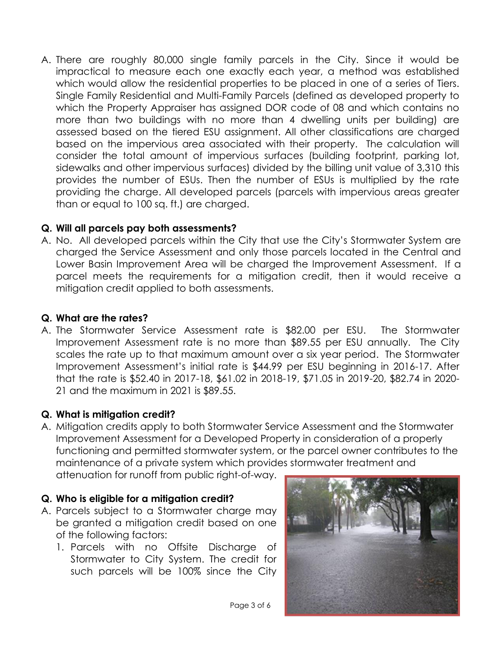A. There are roughly 80,000 single family parcels in the City. Since it would be impractical to measure each one exactly each year, a method was established which would allow the residential properties to be placed in one of a series of Tiers. Single Family Residential and Multi-Family Parcels (defined as developed property to which the Property Appraiser has assigned DOR code of 08 and which contains no more than two buildings with no more than 4 dwelling units per building) are assessed based on the tiered ESU assignment. All other classifications are charged based on the impervious area associated with their property. The calculation will consider the total amount of impervious surfaces (building footprint, parking lot, sidewalks and other impervious surfaces) divided by the billing unit value of 3,310 this provides the number of ESUs. Then the number of ESUs is multiplied by the rate providing the charge. All developed parcels (parcels with impervious areas greater than or equal to 100 sq. ft.) are charged.

## **Q. Will all parcels pay both assessments?**

A. No. All developed parcels within the City that use the City's Stormwater System are charged the Service Assessment and only those parcels located in the Central and Lower Basin Improvement Area will be charged the Improvement Assessment. If a parcel meets the requirements for a mitigation credit, then it would receive a mitigation credit applied to both assessments.

### **Q. What are the rates?**

A. The Stormwater Service Assessment rate is \$82.00 per ESU. The Stormwater Improvement Assessment rate is no more than \$89.55 per ESU annually. The City scales the rate up to that maximum amount over a six year period. The Stormwater Improvement Assessment's initial rate is \$44.99 per ESU beginning in 2016-17. After that the rate is \$52.40 in 2017-18, \$61.02 in 2018-19, \$71.05 in 2019-20, \$82.74 in 2020- 21 and the maximum in 2021 is \$89.55.

## **Q. What is mitigation credit?**

A. Mitigation credits apply to both Stormwater Service Assessment and the Stormwater Improvement Assessment for a Developed Property in consideration of a properly functioning and permitted stormwater system, or the parcel owner contributes to the maintenance of a private system which provides stormwater treatment and attenuation for runoff from public right-of-way.

### **Q. Who is eligible for a mitigation credit?**

- A. Parcels subject to a Stormwater charge may be granted a mitigation credit based on one of the following factors:
	- 1. Parcels with no Offsite Discharge of Stormwater to City System. The credit for such parcels will be 100% since the City

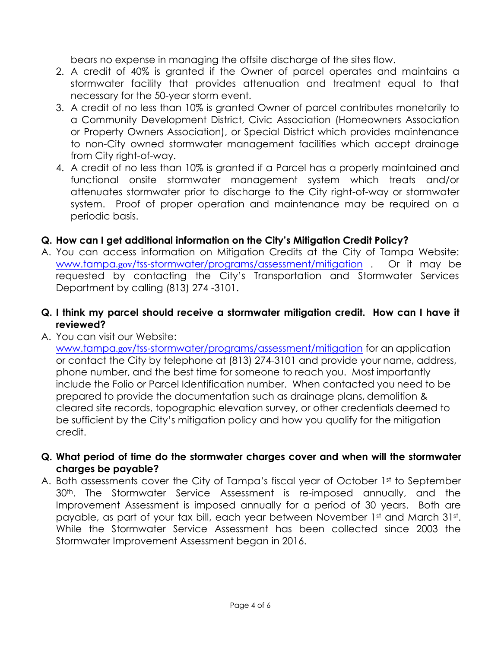bears no expense in managing the offsite discharge of the sites flow.

- 2. A credit of 40% is granted if the Owner of parcel operates and maintains a stormwater facility that provides attenuation and treatment equal to that necessary for the 50-year storm event.
- 3. A credit of no less than 10% is granted Owner of parcel contributes monetarily to a Community Development District, Civic Association (Homeowners Association or Property Owners Association), or Special District which provides maintenance to non-City owned stormwater management facilities which accept drainage from City right-of-way.
- 4. A credit of no less than 10% is granted if a Parcel has a properly maintained and functional onsite stormwater management system which treats and/or attenuates stormwater prior to discharge to the City right-of-way or stormwater system. Proof of proper operation and maintenance may be required on a periodic basis.

# **Q. How can I get additional information on the City's Mitigation Credit Policy?**

- A. You can access information on Mitigation Credits at the City of Tampa Website: www.tampa.gov/tss-stormwater/programs/assessment/mitigation . Or it may be requested by contacting the City's Transportation and Stormwater Services Department by calling (813) 274 -3101.
- **Q. I think my parcel should receive a stormwater mitigation credit. How can I have it reviewed?**
- A. You can visit our Website:

www.tampa.gov/tss-stormwater/programs/assessment/mitigation for an application or contact the City by telephone at (813) 274-3101 and provide your name, address, phone number, and the best time for someone to reach you. Most importantly include the Folio or Parcel Identification number. When contacted you need to be prepared to provide the documentation such as drainage plans, demolition & cleared site records, topographic elevation survey, or other credentials deemed to be sufficient by the City's mitigation policy and how you qualify for the mitigation credit.

- **Q. What period of time do the stormwater charges cover and when will the stormwater charges be payable?**
- A. Both assessments cover the City of Tampa's fiscal year of October 1st to September 30<sup>th</sup>. The Stormwater Service Assessment is re-imposed annually, and the Improvement Assessment is imposed annually for a period of 30 years. Both are payable, as part of your tax bill, each year between November 1st and March 31st. While the Stormwater Service Assessment has been collected since 2003 the Stormwater Improvement Assessment began in 2016.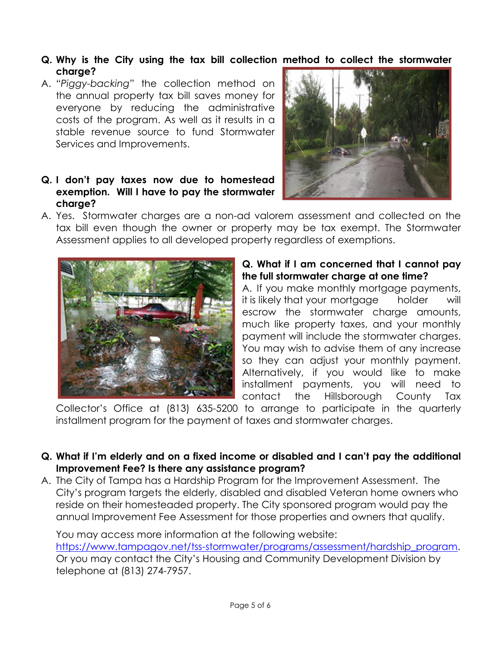- **Q. Why is the City using the tax bill collection method to collect the stormwater charge?**
- A. *"Piggy-backing"* the collection method on the annual property tax bill saves money for everyone by reducing the administrative costs of the program. As well as it results in a stable revenue source to fund Stormwater Services and Improvements.

### **Q. I don't pay taxes now due to homestead exemption. Will I have to pay the stormwater charge?**



A. Yes. Stormwater charges are a non-ad valorem assessment and collected on the tax bill even though the owner or property may be tax exempt. The Stormwater Assessment applies to all developed property regardless of exemptions.



### **Q. What if I am concerned that I cannot pay the full stormwater charge at one time?**

A. If you make monthly mortgage payments, it is likely that your mortgage holder will escrow the stormwater charge amounts, much like property taxes, and your monthly payment will include the stormwater charges. You may wish to advise them of any increase so they can adjust your monthly payment. Alternatively, if you would like to make installment payments, you will need to contact the Hillsborough County Tax

Collector's Office at (813) 635-5200 to arrange to participate in the quarterly installment program for the payment of taxes and stormwater charges.

- **Q. What if I'm elderly and on a fixed income or disabled and I can't pay the additional Improvement Fee? Is there any assistance program?**
- A. The City of Tampa has a Hardship Program for the Improvement Assessment. The City's program targets the elderly, disabled and disabled Veteran home owners who reside on their homesteaded property. The City sponsored program would pay the annual Improvement Fee Assessment for those properties and owners that qualify.

You may access more information at the following website: [https://www.tampagov.net/tss-stormwater/programs/assessment/hardship\\_program.](https://www.tampagov.net/tss-stormwater/programs/assessment/hardship_program) Or you may contact the City's Housing and Community Development Division by telephone at (813) 274-7957.